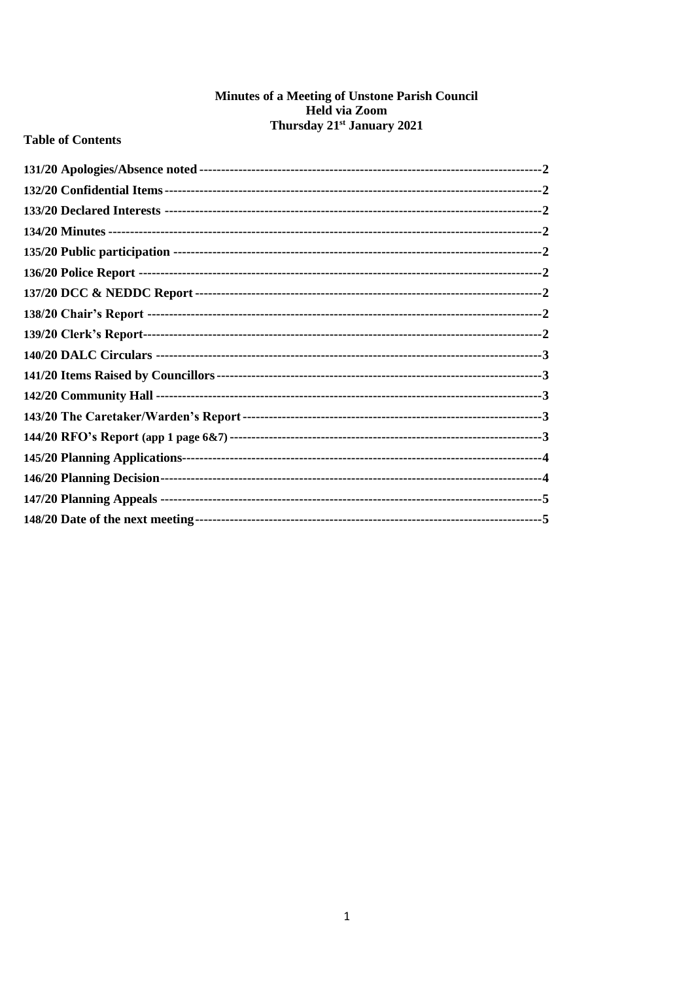## Minutes of a Meeting of Unstone Parish Council Held via Zoom Thursday 21<sup>st</sup> January 2021

## **Table of Contents**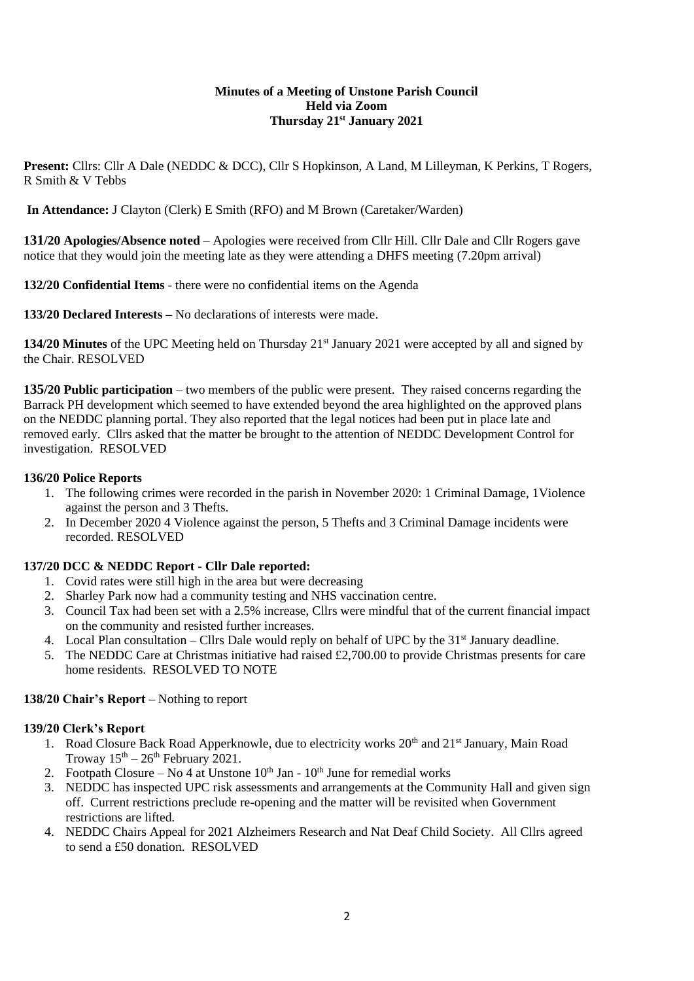### **Minutes of a Meeting of Unstone Parish Council Held via Zoom Thursday 21st January 2021**

Present: Cllrs: Cllr A Dale (NEDDC & DCC), Cllr S Hopkinson, A Land, M Lilleyman, K Perkins, T Rogers, R Smith & V Tebbs

**In Attendance:** J Clayton (Clerk) E Smith (RFO) and M Brown (Caretaker/Warden)

<span id="page-1-0"></span>**131/20 Apologies/Absence noted** – Apologies were received from Cllr Hill. Cllr Dale and Cllr Rogers gave notice that they would join the meeting late as they were attending a DHFS meeting (7.20pm arrival)

<span id="page-1-1"></span>**132/20 Confidential Items** - there were no confidential items on the Agenda

<span id="page-1-2"></span>**133/20 Declared Interests –** No declarations of interests were made.

<span id="page-1-3"></span>**134/20 Minutes** of the UPC Meeting held on Thursday 21<sup>st</sup> January 2021 were accepted by all and signed by the Chair. RESOLVED

<span id="page-1-4"></span>**135/20 Public participation** – two members of the public were present. They raised concerns regarding the Barrack PH development which seemed to have extended beyond the area highlighted on the approved plans on the NEDDC planning portal. They also reported that the legal notices had been put in place late and removed early. Cllrs asked that the matter be brought to the attention of NEDDC Development Control for investigation. RESOLVED

## <span id="page-1-5"></span>**136/20 Police Reports**

- 1. The following crimes were recorded in the parish in November 2020: 1 Criminal Damage, 1Violence against the person and 3 Thefts.
- 2. In December 2020 4 Violence against the person, 5 Thefts and 3 Criminal Damage incidents were recorded. RESOLVED

## <span id="page-1-6"></span>**137/20 DCC & NEDDC Report - Cllr Dale reported:**

- 1. Covid rates were still high in the area but were decreasing
- 2. Sharley Park now had a community testing and NHS vaccination centre.
- 3. Council Tax had been set with a 2.5% increase, Cllrs were mindful that of the current financial impact on the community and resisted further increases.
- 4. Local Plan consultation Cllrs Dale would reply on behalf of UPC by the 31<sup>st</sup> January deadline.
- 5. The NEDDC Care at Christmas initiative had raised £2,700.00 to provide Christmas presents for care home residents. RESOLVED TO NOTE

#### <span id="page-1-7"></span>**138/20 Chair's Report –** Nothing to report

#### **139/20 Clerk's Report**

- 1. Road Closure Back Road Apperknowle, due to electricity works  $20<sup>th</sup>$  and  $21<sup>st</sup>$  January, Main Road Troway  $15<sup>th</sup> - 26<sup>th</sup>$  February 2021.
- 2. Footpath Closure No 4 at Unstone  $10^{th}$  Jan  $10^{th}$  June for remedial works
- 3. NEDDC has inspected UPC risk assessments and arrangements at the Community Hall and given sign off. Current restrictions preclude re-opening and the matter will be revisited when Government restrictions are lifted.
- 4. NEDDC Chairs Appeal for 2021 Alzheimers Research and Nat Deaf Child Society. All Cllrs agreed to send a £50 donation. RESOLVED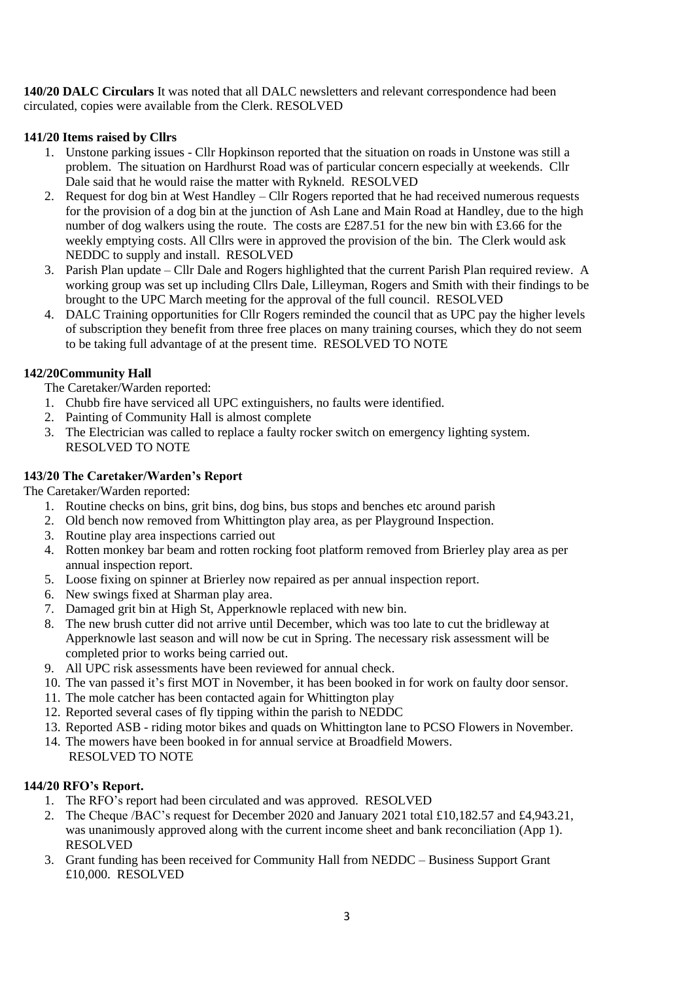<span id="page-2-0"></span>**140/20 DALC Circulars** It was noted that all DALC newsletters and relevant correspondence had been circulated, copies were available from the Clerk. RESOLVED

## **141/20 Items raised by Cllrs**

- 1. Unstone parking issues Cllr Hopkinson reported that the situation on roads in Unstone was still a problem. The situation on Hardhurst Road was of particular concern especially at weekends. Cllr Dale said that he would raise the matter with Rykneld. RESOLVED
- 2. Request for dog bin at West Handley Cllr Rogers reported that he had received numerous requests for the provision of a dog bin at the junction of Ash Lane and Main Road at Handley, due to the high number of dog walkers using the route. The costs are £287.51 for the new bin with £3.66 for the weekly emptying costs. All Cllrs were in approved the provision of the bin. The Clerk would ask NEDDC to supply and install. RESOLVED
- 3. Parish Plan update Cllr Dale and Rogers highlighted that the current Parish Plan required review. A working group was set up including Cllrs Dale, Lilleyman, Rogers and Smith with their findings to be brought to the UPC March meeting for the approval of the full council. RESOLVED
- 4. DALC Training opportunities for Cllr Rogers reminded the council that as UPC pay the higher levels of subscription they benefit from three free places on many training courses, which they do not seem to be taking full advantage of at the present time. RESOLVED TO NOTE

# **142/20Community Hall**

The Caretaker/Warden reported:

- 1. Chubb fire have serviced all UPC extinguishers, no faults were identified.
- 2. Painting of Community Hall is almost complete
- 3. The Electrician was called to replace a faulty rocker switch on emergency lighting system. RESOLVED TO NOTE

## <span id="page-2-1"></span>**143/20 The Caretaker/Warden's Report**

The Caretaker/Warden reported:

- 1. Routine checks on bins, grit bins, dog bins, bus stops and benches etc around parish
- 2. Old bench now removed from Whittington play area, as per Playground Inspection.
- 3. Routine play area inspections carried out
- 4. Rotten monkey bar beam and rotten rocking foot platform removed from Brierley play area as per annual inspection report.
- 5. Loose fixing on spinner at Brierley now repaired as per annual inspection report.
- 6. New swings fixed at Sharman play area.
- 7. Damaged grit bin at High St, Apperknowle replaced with new bin.
- 8. The new brush cutter did not arrive until December, which was too late to cut the bridleway at Apperknowle last season and will now be cut in Spring. The necessary risk assessment will be completed prior to works being carried out.
- 9. All UPC risk assessments have been reviewed for annual check.
- 10. The van passed it's first MOT in November, it has been booked in for work on faulty door sensor.
- 11. The mole catcher has been contacted again for Whittington play
- 12. Reported several cases of fly tipping within the parish to NEDDC
- 13. Reported ASB riding motor bikes and quads on Whittington lane to PCSO Flowers in November.
- 14. The mowers have been booked in for annual service at Broadfield Mowers. RESOLVED TO NOTE

# <span id="page-2-2"></span>**144/20 RFO's Report.**

- 1. The RFO's report had been circulated and was approved. RESOLVED
- 2. The Cheque /BAC's request for December 2020 and January 2021 total £10,182.57 and £4,943.21, was unanimously approved along with the current income sheet and bank reconciliation (App 1). RESOLVED
- 3. Grant funding has been received for Community Hall from NEDDC Business Support Grant £10,000. RESOLVED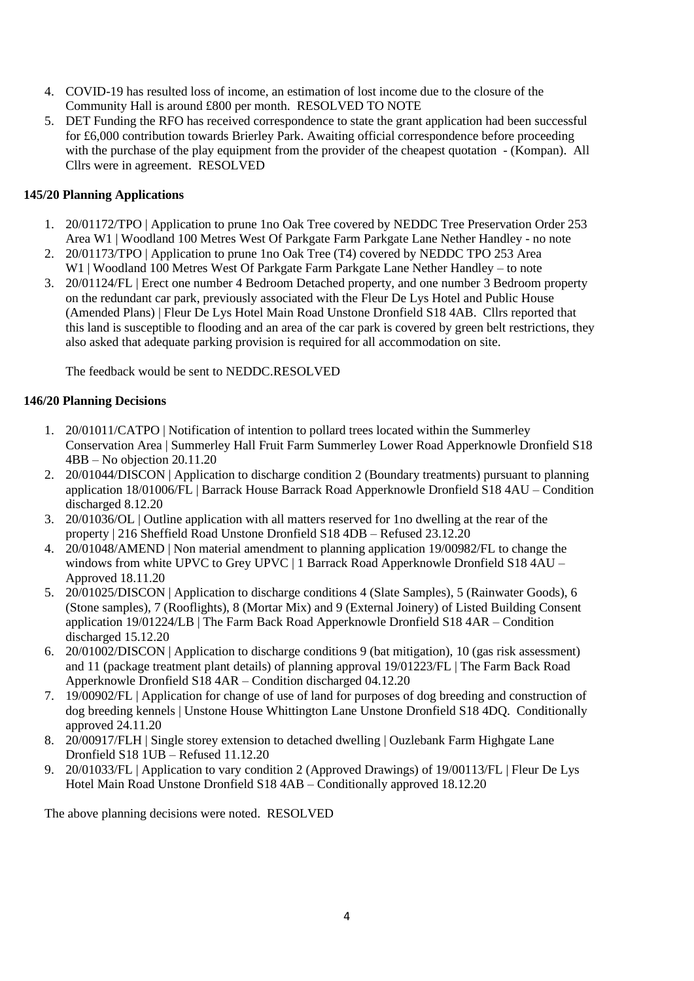- 4. COVID-19 has resulted loss of income, an estimation of lost income due to the closure of the Community Hall is around £800 per month. RESOLVED TO NOTE
- 5. DET Funding the RFO has received correspondence to state the grant application had been successful for £6,000 contribution towards Brierley Park. Awaiting official correspondence before proceeding with the purchase of the play equipment from the provider of the cheapest quotation - (Kompan). All Cllrs were in agreement. RESOLVED

## <span id="page-3-0"></span>**145/20 Planning Applications**

- 1. 20/01172/TPO | Application to prune 1no Oak Tree covered by NEDDC Tree Preservation Order 253 Area W1 | Woodland 100 Metres West Of Parkgate Farm Parkgate Lane Nether Handley - no note
- 2. 20/01173/TPO | Application to prune 1no Oak Tree (T4) covered by NEDDC TPO 253 Area W1 | Woodland 100 Metres West Of Parkgate Farm Parkgate Lane Nether Handley – to note
- 3. 20/01124/FL | Erect one number 4 Bedroom Detached property, and one number 3 Bedroom property on the redundant car park, previously associated with the Fleur De Lys Hotel and Public House (Amended Plans) | Fleur De Lys Hotel Main Road Unstone Dronfield S18 4AB. Cllrs reported that this land is susceptible to flooding and an area of the car park is covered by green belt restrictions, they also asked that adequate parking provision is required for all accommodation on site.

The feedback would be sent to NEDDC.RESOLVED

### **146/20 Planning Decisions**

- 1. 20/01011/CATPO | Notification of intention to pollard trees located within the Summerley Conservation Area | Summerley Hall Fruit Farm Summerley Lower Road Apperknowle Dronfield S18 4BB – No objection 20.11.20
- 2. 20/01044/DISCON | Application to discharge condition 2 (Boundary treatments) pursuant to planning application 18/01006/FL | Barrack House Barrack Road Apperknowle Dronfield S18 4AU – Condition discharged 8.12.20
- 3. 20/01036/OL | Outline application with all matters reserved for 1no dwelling at the rear of the property | 216 Sheffield Road Unstone Dronfield S18 4DB – Refused 23.12.20
- 4. 20/01048/AMEND | Non material amendment to planning application 19/00982/FL to change the windows from white UPVC to Grey UPVC | 1 Barrack Road Apperknowle Dronfield S18 4AU – Approved 18.11.20
- 5. 20/01025/DISCON | Application to discharge conditions 4 (Slate Samples), 5 (Rainwater Goods), 6 (Stone samples), 7 (Rooflights), 8 (Mortar Mix) and 9 (External Joinery) of Listed Building Consent application 19/01224/LB | The Farm Back Road Apperknowle Dronfield S18 4AR – Condition discharged 15.12.20
- 6. 20/01002/DISCON | Application to discharge conditions 9 (bat mitigation), 10 (gas risk assessment) and 11 (package treatment plant details) of planning approval 19/01223/FL | The Farm Back Road Apperknowle Dronfield S18 4AR – Condition discharged 04.12.20
- 7. 19/00902/FL | Application for change of use of land for purposes of dog breeding and construction of dog breeding kennels | Unstone House Whittington Lane Unstone Dronfield S18 4DQ. Conditionally approved 24.11.20
- 8. 20/00917/FLH | Single storey extension to detached dwelling | Ouzlebank Farm Highgate Lane Dronfield S18 1UB – Refused 11.12.20
- 9. 20/01033/FL | Application to vary condition 2 (Approved Drawings) of 19/00113/FL | Fleur De Lys Hotel Main Road Unstone Dronfield S18 4AB – Conditionally approved 18.12.20

The above planning decisions were noted. RESOLVED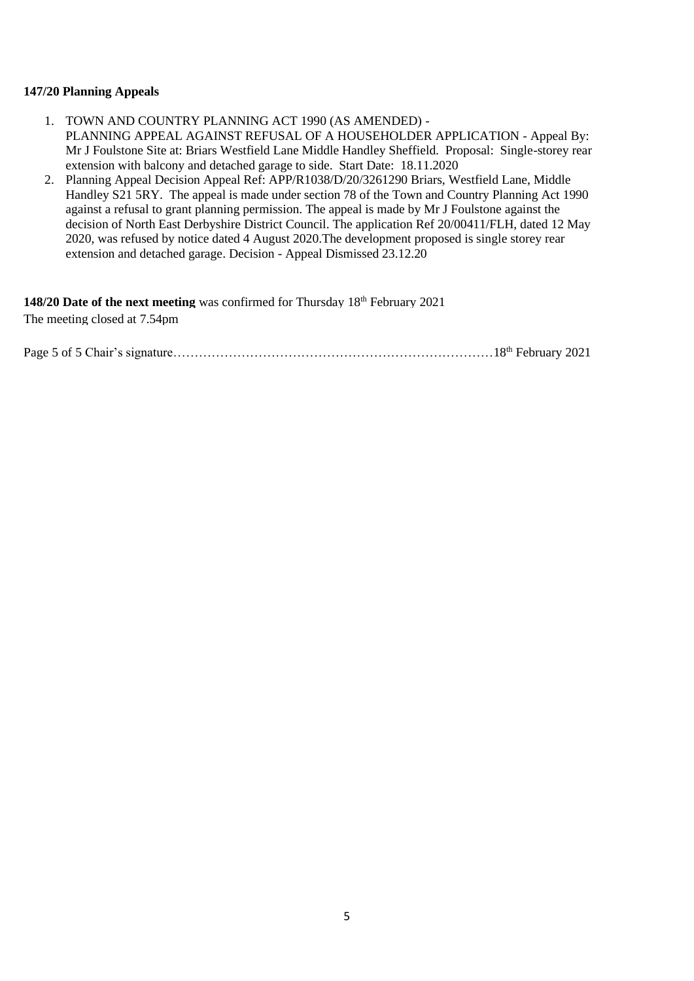#### **147/20 Planning Appeals**

- 1. TOWN AND COUNTRY PLANNING ACT 1990 (AS AMENDED) PLANNING APPEAL AGAINST REFUSAL OF A HOUSEHOLDER APPLICATION - Appeal By: Mr J Foulstone Site at: Briars Westfield Lane Middle Handley Sheffield. Proposal: Single-storey rear extension with balcony and detached garage to side. Start Date: 18.11.2020
- 2. Planning Appeal Decision Appeal Ref: APP/R1038/D/20/3261290 Briars, Westfield Lane, Middle Handley S21 5RY. The appeal is made under section 78 of the Town and Country Planning Act 1990 against a refusal to grant planning permission. The appeal is made by Mr J Foulstone against the decision of North East Derbyshire District Council. The application Ref 20/00411/FLH, dated 12 May 2020, was refused by notice dated 4 August 2020.The development proposed is single storey rear extension and detached garage. Decision - Appeal Dismissed 23.12.20

<span id="page-4-0"></span>**148/20 Date of the next meeting** was confirmed for Thursday 18<sup>th</sup> February 2021 The meeting closed at 7.54pm

Page 5 of 5 Chair's signature…………………………………………………………………18th February 2021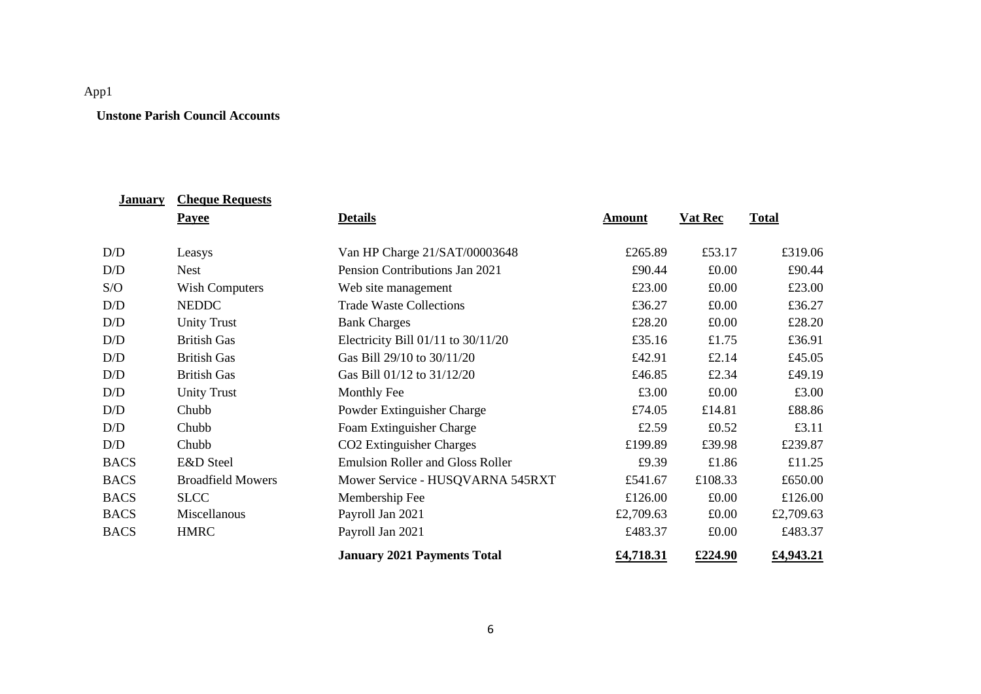# App1

## **Unstone Parish Council Accounts**

| <b>January</b> | <b>Cheque Requests</b>   |                                         |               |                |              |
|----------------|--------------------------|-----------------------------------------|---------------|----------------|--------------|
|                | <b>Payee</b>             | <b>Details</b>                          | <b>Amount</b> | <b>Vat Rec</b> | <b>Total</b> |
| D/D            | Leasys                   | Van HP Charge 21/SAT/00003648           | £265.89       | £53.17         | £319.06      |
| D/D            |                          | Pension Contributions Jan 2021          | £90.44        |                | £90.44       |
|                | <b>Nest</b>              |                                         |               | £0.00          |              |
| S/O            | <b>Wish Computers</b>    | Web site management                     | £23.00        | £0.00          | £23.00       |
| D/D            | <b>NEDDC</b>             | <b>Trade Waste Collections</b>          | £36.27        | £0.00          | £36.27       |
| D/D            | <b>Unity Trust</b>       | <b>Bank Charges</b>                     | £28.20        | £0.00          | £28.20       |
| D/D            | <b>British Gas</b>       | Electricity Bill 01/11 to 30/11/20      | £35.16        | £1.75          | £36.91       |
| D/D            | <b>British Gas</b>       | Gas Bill 29/10 to 30/11/20              | £42.91        | £2.14          | £45.05       |
| D/D            | <b>British Gas</b>       | Gas Bill 01/12 to 31/12/20              | £46.85        | £2.34          | £49.19       |
| D/D            | <b>Unity Trust</b>       | Monthly Fee                             | £3.00         | £0.00          | £3.00        |
| D/D            | Chubb                    | Powder Extinguisher Charge              | £74.05        | £14.81         | £88.86       |
| D/D            | Chubb                    | Foam Extinguisher Charge                | £2.59         | £0.52          | £3.11        |
| D/D            | Chubb                    | CO <sub>2</sub> Extinguisher Charges    | £199.89       | £39.98         | £239.87      |
| <b>BACS</b>    | E&D Steel                | <b>Emulsion Roller and Gloss Roller</b> | £9.39         | £1.86          | £11.25       |
| <b>BACS</b>    | <b>Broadfield Mowers</b> | Mower Service - HUSQVARNA 545RXT        | £541.67       | £108.33        | £650.00      |
| <b>BACS</b>    | <b>SLCC</b>              | Membership Fee                          | £126.00       | £0.00          | £126.00      |
| <b>BACS</b>    | Miscellanous             | Payroll Jan 2021                        | £2,709.63     | £0.00          | £2,709.63    |
| <b>BACS</b>    | <b>HMRC</b>              | Payroll Jan 2021                        | £483.37       | £0.00          | £483.37      |
|                |                          | <b>January 2021 Payments Total</b>      | £4,718.31     | £224.90        | £4,943.21    |